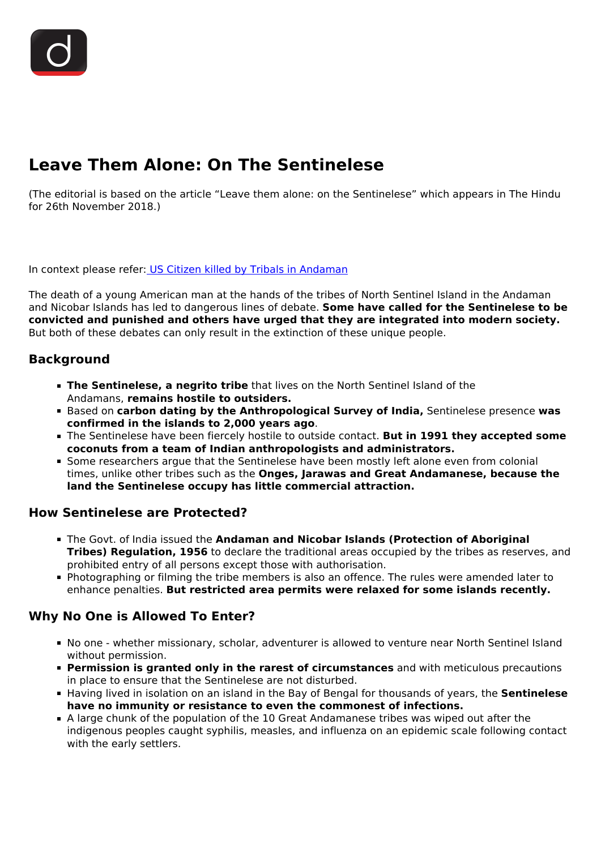# **Leave Them Alone: On The Sentinelese**

(The editorial is based on the article "Leave them alone: on the Sentinelese" which appears in The Hindu for 26th November 2018.)

In context please refer[: US Citizen killed by Tribals in Andaman](/daily-updates/daily-news-analysis/us-citizen-killed-by-tribals-in-andaman)

The death of a young American man at the hands of the tribes of North Sentinel Island in the Andaman and Nicobar Islands has led to dangerous lines of debate. **Some have called for the Sentinelese to be convicted and punished and others have urged that they are integrated into modern society.** But both of these debates can only result in the extinction of these unique people.

## **Background**

- **The Sentinelese, a negrito tribe** that lives on the North Sentinel Island of the Andamans, **remains hostile to outsiders.**
- Based on **carbon dating by the Anthropological Survey of India,** Sentinelese presence **was confirmed in the islands to 2,000 years ago**.
- The Sentinelese have been fiercely hostile to outside contact. **But in 1991 they accepted some coconuts from a team of Indian anthropologists and administrators.**
- Some researchers argue that the Sentinelese have been mostly left alone even from colonial times, unlike other tribes such as the **Onges, Jarawas and Great Andamanese, because the land the Sentinelese occupy has little commercial attraction.**

## **How Sentinelese are Protected?**

- The Govt. of India issued the **Andaman and Nicobar Islands (Protection of Aboriginal Tribes) Regulation, 1956** to declare the traditional areas occupied by the tribes as reserves, and prohibited entry of all persons except those with authorisation.
- Photographing or filming the tribe members is also an offence. The rules were amended later to enhance penalties. **But restricted area permits were relaxed for some islands recently.**

## **Why No One is Allowed To Enter?**

- No one whether missionary, scholar, adventurer is allowed to venture near North Sentinel Island without permission.
- **Permission is granted only in the rarest of circumstances** and with meticulous precautions in place to ensure that the Sentinelese are not disturbed.
- Having lived in isolation on an island in the Bay of Bengal for thousands of years, the **Sentinelese have no immunity or resistance to even the commonest of infections.**
- A large chunk of the population of the 10 Great Andamanese tribes was wiped out after the indigenous peoples caught syphilis, measles, and influenza on an epidemic scale following contact with the early settlers.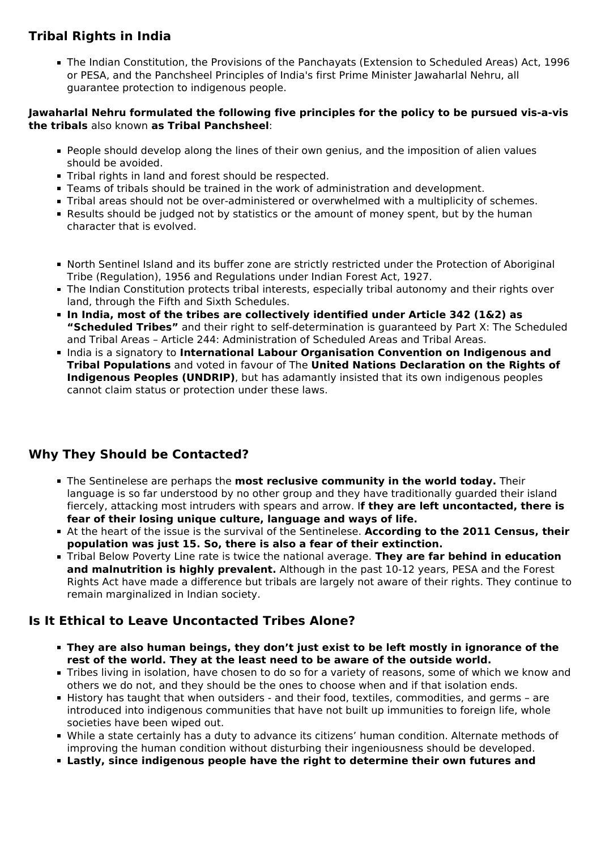# **Tribal Rights in India**

The Indian Constitution, the Provisions of the Panchayats (Extension to Scheduled Areas) Act, 1996 or PESA, and the Panchsheel Principles of India's first Prime Minister Jawaharlal Nehru, all guarantee protection to indigenous people.

#### **Jawaharlal Nehru formulated the following five principles for the policy to be pursued vis-a-vis the tribals** also known **as Tribal Panchsheel**:

- People should develop along the lines of their own genius, and the imposition of alien values should be avoided.
- Tribal rights in land and forest should be respected.
- Teams of tribals should be trained in the work of administration and development.
- Tribal areas should not be over-administered or overwhelmed with a multiplicity of schemes.
- Results should be judged not by statistics or the amount of money spent, but by the human character that is evolved.
- North Sentinel Island and its buffer zone are strictly restricted under the Protection of Aboriginal Tribe (Regulation), 1956 and Regulations under Indian Forest Act, 1927.
- The Indian Constitution protects tribal interests, especially tribal autonomy and their rights over land, through the Fifth and Sixth Schedules.
- **In India, most of the tribes are collectively identified under Article 342 (1&2) as "Scheduled Tribes"** and their right to self-determination is guaranteed by Part X: The Scheduled and Tribal Areas – Article 244: Administration of Scheduled Areas and Tribal Areas.
- **India is a signatory to International Labour Organisation Convention on Indigenous and Tribal Populations** and voted in favour of The **United Nations Declaration on the Rights of Indigenous Peoples (UNDRIP)**, but has adamantly insisted that its own indigenous peoples cannot claim status or protection under these laws.

# **Why They Should be Contacted?**

- The Sentinelese are perhaps the **most reclusive community in the world today.** Their language is so far understood by no other group and they have traditionally guarded their island fiercely, attacking most intruders with spears and arrow. I**f they are left uncontacted, there is fear of their losing unique culture, language and ways of life.**
- At the heart of the issue is the survival of the Sentinelese. **According to the 2011 Census, their population was just 15. So, there is also a fear of their extinction.**
- Tribal Below Poverty Line rate is twice the national average. **They are far behind in education and malnutrition is highly prevalent.** Although in the past 10-12 years, PESA and the Forest Rights Act have made a difference but tribals are largely not aware of their rights. They continue to remain marginalized in Indian society.

# **Is It Ethical to Leave Uncontacted Tribes Alone?**

- **They are also human beings, they don't just exist to be left mostly in ignorance of the rest of the world. They at the least need to be aware of the outside world.**
- Tribes living in isolation, have chosen to do so for a variety of reasons, some of which we know and others we do not, and they should be the ones to choose when and if that isolation ends.
- History has taught that when outsiders and their food, textiles, commodities, and germs are introduced into indigenous communities that have not built up immunities to foreign life, whole societies have been wiped out.
- While a state certainly has a duty to advance its citizens' human condition. Alternate methods of improving the human condition without disturbing their ingeniousness should be developed.
- **Lastly, since indigenous people have the right to determine their own futures and**